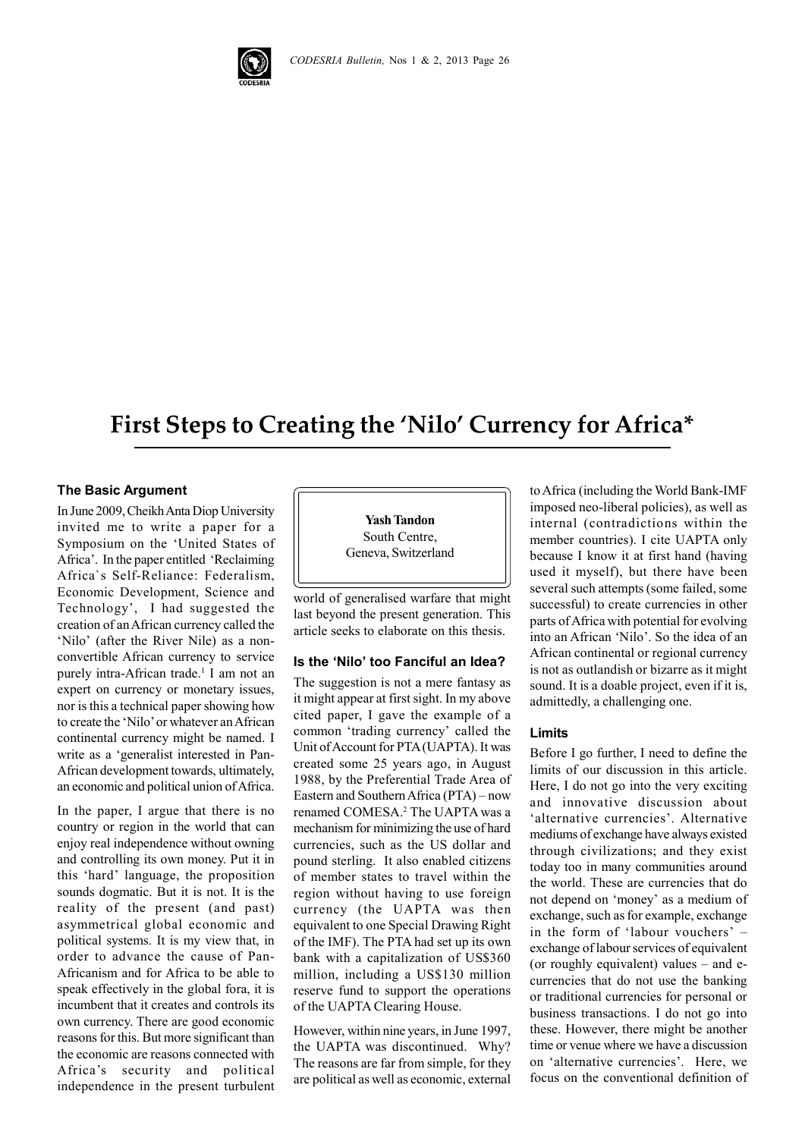

# **First Steps to Creating the 'Nilo' Currency for Africa\***

#### **The Basic Argument**

In June 2009, Cheikh Anta Diop University invited me to write a paper for a Symposium on the 'United States of Africa'. In the paper entitled 'Reclaiming Africa`s Self-Reliance: Federalism, Economic Development, Science and Technology', I had suggested the creation of an African currency called the 'Nilo' (after the River Nile) as a nonconvertible African currency to service purely intra-African trade.<sup>1</sup> I am not an expert on currency or monetary issues, nor is this a technical paper showing how to create the 'Nilo' or whatever an African continental currency might be named. I write as a 'generalist interested in Pan-African development towards, ultimately, an economic and political union of Africa.

In the paper, I argue that there is no country or region in the world that can enjoy real independence without owning and controlling its own money. Put it in this 'hard' language, the proposition sounds dogmatic. But it is not. It is the reality of the present (and past) asymmetrical global economic and political systems. It is my view that, in order to advance the cause of Pan-Africanism and for Africa to be able to speak effectively in the global fora, it is incumbent that it creates and controls its own currency. There are good economic reasons for this. But more significant than the economic are reasons connected with Africa's security and political independence in the present turbulent

**Yash Tandon** South Centre, Geneva, Switzerland

world of generalised warfare that might last beyond the present generation. This article seeks to elaborate on this thesis.

# **Is the 'Nilo' too Fanciful an Idea?**

The suggestion is not a mere fantasy as it might appear at first sight. In my above cited paper, I gave the example of a common 'trading currency' called the Unit of Account for PTA (UAPTA). It was created some 25 years ago, in August 1988, by the Preferential Trade Area of Eastern and Southern Africa (PTA) – now renamed COMESA.<sup>2</sup> The UAPTA was a mechanism for minimizing the use of hard currencies, such as the US dollar and pound sterling. It also enabled citizens of member states to travel within the region without having to use foreign currency (the UAPTA was then equivalent to one Special Drawing Right of the IMF). The PTA had set up its own bank with a capitalization of US\$360 million, including a US\$130 million reserve fund to support the operations of the UAPTA Clearing House.

However, within nine years, in June 1997, the UAPTA was discontinued. Why? The reasons are far from simple, for they are political as well as economic, external to Africa (including the World Bank-IMF imposed neo-liberal policies), as well as internal (contradictions within the member countries). I cite UAPTA only because I know it at first hand (having used it myself), but there have been several such attempts (some failed, some successful) to create currencies in other parts of Africa with potential for evolving into an African 'Nilo'. So the idea of an African continental or regional currency is not as outlandish or bizarre as it might sound. It is a doable project, even if it is, admittedly, a challenging one.

#### **Limits**

Before I go further, I need to define the limits of our discussion in this article. Here, I do not go into the very exciting and innovative discussion about 'alternative currencies'. Alternative mediums of exchange have always existed through civilizations; and they exist today too in many communities around the world. These are currencies that do not depend on 'money' as a medium of exchange, such as for example, exchange in the form of 'labour vouchers' – exchange of labour services of equivalent (or roughly equivalent) values – and ecurrencies that do not use the banking or traditional currencies for personal or business transactions. I do not go into these. However, there might be another time or venue where we have a discussion on 'alternative currencies'. Here, we focus on the conventional definition of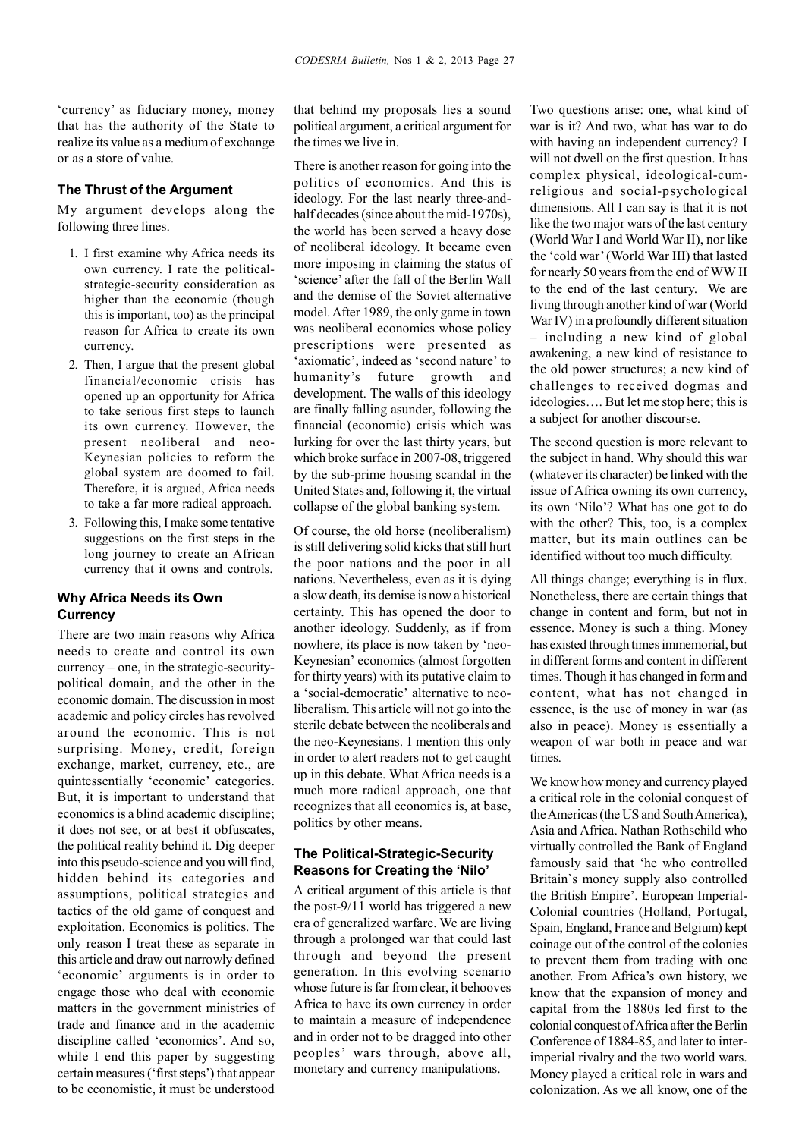'currency' as fiduciary money, money that has the authority of the State to realize its value as a medium of exchange or as a store of value.

#### **The Thrust of the Argument**

My argument develops along the following three lines.

- 1. I first examine why Africa needs its own currency. I rate the politicalstrategic-security consideration as higher than the economic (though this is important, too) as the principal reason for Africa to create its own currency.
- 2. Then, I argue that the present global financial/economic crisis has opened up an opportunity for Africa to take serious first steps to launch its own currency. However, the present neoliberal and neo-Keynesian policies to reform the global system are doomed to fail. Therefore, it is argued, Africa needs to take a far more radical approach.
- 3. Following this, I make some tentative suggestions on the first steps in the long journey to create an African currency that it owns and controls.

#### **Why Africa Needs its Own Currency**

There are two main reasons why Africa needs to create and control its own currency – one, in the strategic-securitypolitical domain, and the other in the economic domain. The discussion in most academic and policy circles has revolved around the economic. This is not surprising. Money, credit, foreign exchange, market, currency, etc., are quintessentially 'economic' categories. But, it is important to understand that economics is a blind academic discipline; it does not see, or at best it obfuscates, the political reality behind it. Dig deeper into this pseudo-science and you will find, hidden behind its categories and assumptions, political strategies and tactics of the old game of conquest and exploitation. Economics is politics. The only reason I treat these as separate in this article and draw out narrowly defined 'economic' arguments is in order to engage those who deal with economic matters in the government ministries of trade and finance and in the academic discipline called 'economics'. And so, while I end this paper by suggesting certain measures ('first steps') that appear to be economistic, it must be understood

that behind my proposals lies a sound political argument, a critical argument for the times we live in.

There is another reason for going into the politics of economics. And this is ideology. For the last nearly three-andhalf decades (since about the mid-1970s), the world has been served a heavy dose of neoliberal ideology. It became even more imposing in claiming the status of 'science' after the fall of the Berlin Wall and the demise of the Soviet alternative model. After 1989, the only game in town was neoliberal economics whose policy prescriptions were presented as 'axiomatic', indeed as 'second nature' to humanity's future growth and development. The walls of this ideology are finally falling asunder, following the financial (economic) crisis which was lurking for over the last thirty years, but which broke surface in 2007-08, triggered by the sub-prime housing scandal in the United States and, following it, the virtual collapse of the global banking system.

Of course, the old horse (neoliberalism) is still delivering solid kicks that still hurt the poor nations and the poor in all nations. Nevertheless, even as it is dying a slow death, its demise is now a historical certainty. This has opened the door to another ideology. Suddenly, as if from nowhere, its place is now taken by 'neo-Keynesian' economics (almost forgotten for thirty years) with its putative claim to a 'social-democratic' alternative to neoliberalism. This article will not go into the sterile debate between the neoliberals and the neo-Keynesians. I mention this only in order to alert readers not to get caught up in this debate. What Africa needs is a much more radical approach, one that recognizes that all economics is, at base, politics by other means.

# **The Political-Strategic-Security Reasons for Creating the 'Nilo'**

A critical argument of this article is that the post-9/11 world has triggered a new era of generalized warfare. We are living through a prolonged war that could last through and beyond the present generation. In this evolving scenario whose future is far from clear, it behooves Africa to have its own currency in order to maintain a measure of independence and in order not to be dragged into other peoples' wars through, above all, monetary and currency manipulations.

Two questions arise: one, what kind of war is it? And two, what has war to do with having an independent currency? I will not dwell on the first question. It has complex physical, ideological-cumreligious and social-psychological dimensions. All I can say is that it is not like the two major wars of the last century (World War I and World War II), nor like the 'cold war' (World War III) that lasted for nearly 50 years from the end of WW II to the end of the last century. We are living through another kind of war (World War IV) in a profoundly different situation – including a new kind of global awakening, a new kind of resistance to the old power structures; a new kind of challenges to received dogmas and ideologies…. But let me stop here; this is a subject for another discourse.

The second question is more relevant to the subject in hand. Why should this war (whatever its character) be linked with the issue of Africa owning its own currency, its own 'Nilo'? What has one got to do with the other? This, too, is a complex matter, but its main outlines can be identified without too much difficulty.

All things change; everything is in flux. Nonetheless, there are certain things that change in content and form, but not in essence. Money is such a thing. Money has existed through times immemorial, but in different forms and content in different times. Though it has changed in form and content, what has not changed in essence, is the use of money in war (as also in peace). Money is essentially a weapon of war both in peace and war times.

We know how money and currency played a critical role in the colonial conquest of the Americas (the US and South America), Asia and Africa. Nathan Rothschild who virtually controlled the Bank of England famously said that 'he who controlled Britain`s money supply also controlled the British Empire'. European Imperial-Colonial countries (Holland, Portugal, Spain, England, France and Belgium) kept coinage out of the control of the colonies to prevent them from trading with one another. From Africa's own history, we know that the expansion of money and capital from the 1880s led first to the colonial conquest of Africa after the Berlin Conference of 1884-85, and later to interimperial rivalry and the two world wars. Money played a critical role in wars and colonization. As we all know, one of the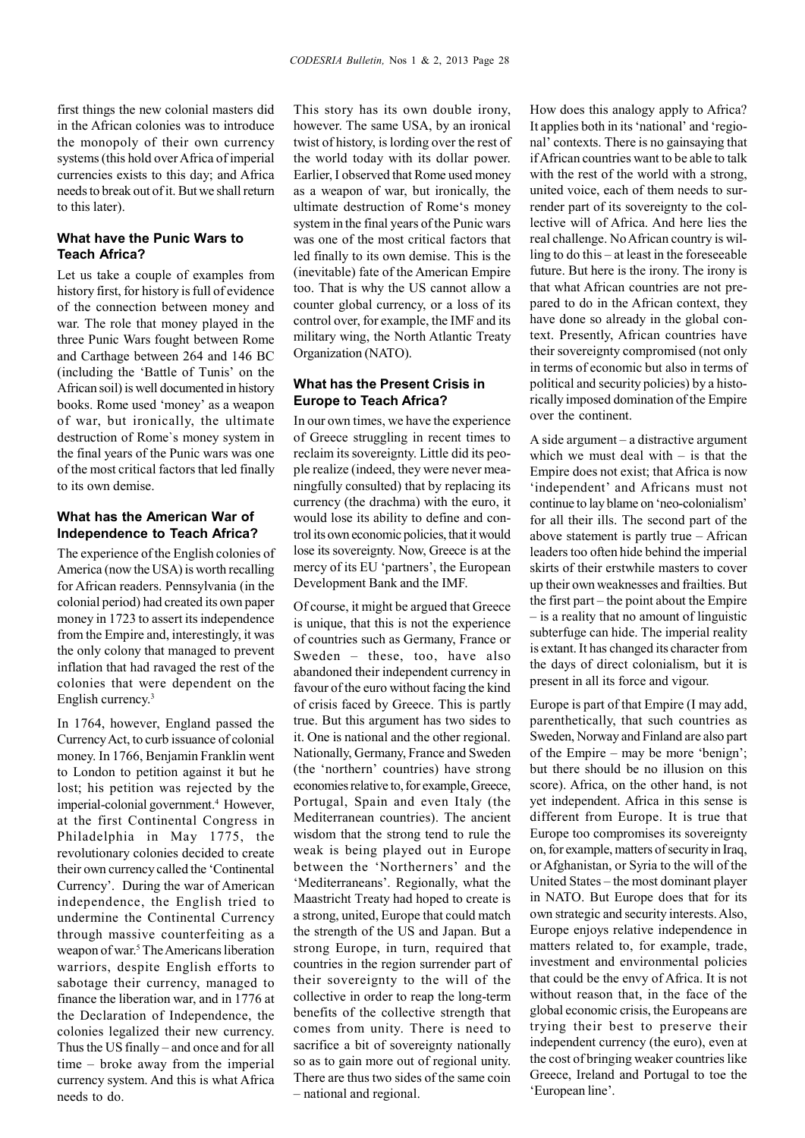first things the new colonial masters did in the African colonies was to introduce the monopoly of their own currency systems (this hold over Africa of imperial currencies exists to this day; and Africa needs to break out of it. But we shall return to this later).

#### **What have the Punic Wars to Teach Africa?**

Let us take a couple of examples from history first, for history is full of evidence of the connection between money and war. The role that money played in the three Punic Wars fought between Rome and Carthage between 264 and 146 BC (including the 'Battle of Tunis' on the African soil) is well documented in history books. Rome used 'money' as a weapon of war, but ironically, the ultimate destruction of Rome`s money system in the final years of the Punic wars was one of the most critical factors that led finally to its own demise.

#### **What has the American War of Independence to Teach Africa?**

The experience of the English colonies of America (now the USA) is worth recalling for African readers. Pennsylvania (in the colonial period) had created its own paper money in 1723 to assert its independence from the Empire and, interestingly, it was the only colony that managed to prevent inflation that had ravaged the rest of the colonies that were dependent on the English currency.<sup>3</sup>

In 1764, however, England passed the Currency Act, to curb issuance of colonial money. In 1766, Benjamin Franklin went to London to petition against it but he lost; his petition was rejected by the imperial-colonial government.<sup>4</sup> However, at the first Continental Congress in Philadelphia in May 1775, the revolutionary colonies decided to create their own currency called the 'Continental Currency'. During the war of American independence, the English tried to undermine the Continental Currency through massive counterfeiting as a weapon of war.<sup>5</sup> The Americans liberation warriors, despite English efforts to sabotage their currency, managed to finance the liberation war, and in 1776 at the Declaration of Independence, the colonies legalized their new currency. Thus the US finally – and once and for all time – broke away from the imperial currency system. And this is what Africa needs to do.

This story has its own double irony, however. The same USA, by an ironical twist of history, is lording over the rest of the world today with its dollar power. Earlier, I observed that Rome used money as a weapon of war, but ironically, the ultimate destruction of Rome's money system in the final years of the Punic wars was one of the most critical factors that led finally to its own demise. This is the (inevitable) fate of the American Empire too. That is why the US cannot allow a counter global currency, or a loss of its control over, for example, the IMF and its military wing, the North Atlantic Treaty Organization (NATO).

# **What has the Present Crisis in Europe to Teach Africa?**

In our own times, we have the experience of Greece struggling in recent times to reclaim its sovereignty. Little did its people realize (indeed, they were never meaningfully consulted) that by replacing its currency (the drachma) with the euro, it would lose its ability to define and control its own economic policies, that it would lose its sovereignty. Now, Greece is at the mercy of its EU 'partners', the European Development Bank and the IMF.

Of course, it might be argued that Greece is unique, that this is not the experience of countries such as Germany, France or Sweden – these, too, have also abandoned their independent currency in favour of the euro without facing the kind of crisis faced by Greece. This is partly true. But this argument has two sides to it. One is national and the other regional. Nationally, Germany, France and Sweden (the 'northern' countries) have strong economies relative to, for example, Greece, Portugal, Spain and even Italy (the Mediterranean countries). The ancient wisdom that the strong tend to rule the weak is being played out in Europe between the 'Northerners' and the 'Mediterraneans'. Regionally, what the Maastricht Treaty had hoped to create is a strong, united, Europe that could match the strength of the US and Japan. But a strong Europe, in turn, required that countries in the region surrender part of their sovereignty to the will of the collective in order to reap the long-term benefits of the collective strength that comes from unity. There is need to sacrifice a bit of sovereignty nationally so as to gain more out of regional unity. There are thus two sides of the same coin – national and regional.

How does this analogy apply to Africa? It applies both in its 'national' and 'regional' contexts. There is no gainsaying that if African countries want to be able to talk with the rest of the world with a strong. united voice, each of them needs to surrender part of its sovereignty to the collective will of Africa. And here lies the real challenge. No African country is willing to do this – at least in the foreseeable future. But here is the irony. The irony is that what African countries are not prepared to do in the African context, they have done so already in the global context. Presently, African countries have their sovereignty compromised (not only in terms of economic but also in terms of political and security policies) by a historically imposed domination of the Empire over the continent.

A side argument – a distractive argument which we must deal with – is that the Empire does not exist; that Africa is now 'independent' and Africans must not continue to lay blame on 'neo-colonialism' for all their ills. The second part of the above statement is partly true – African leaders too often hide behind the imperial skirts of their erstwhile masters to cover up their own weaknesses and frailties. But the first part – the point about the Empire – is a reality that no amount of linguistic subterfuge can hide. The imperial reality is extant. It has changed its character from the days of direct colonialism, but it is present in all its force and vigour.

Europe is part of that Empire (I may add, parenthetically, that such countries as Sweden, Norway and Finland are also part of the Empire – may be more 'benign'; but there should be no illusion on this score). Africa, on the other hand, is not yet independent. Africa in this sense is different from Europe. It is true that Europe too compromises its sovereignty on, for example, matters of security in Iraq, or Afghanistan, or Syria to the will of the United States – the most dominant player in NATO. But Europe does that for its own strategic and security interests. Also, Europe enjoys relative independence in matters related to, for example, trade, investment and environmental policies that could be the envy of Africa. It is not without reason that, in the face of the global economic crisis, the Europeans are trying their best to preserve their independent currency (the euro), even at the cost of bringing weaker countries like Greece, Ireland and Portugal to toe the 'European line'.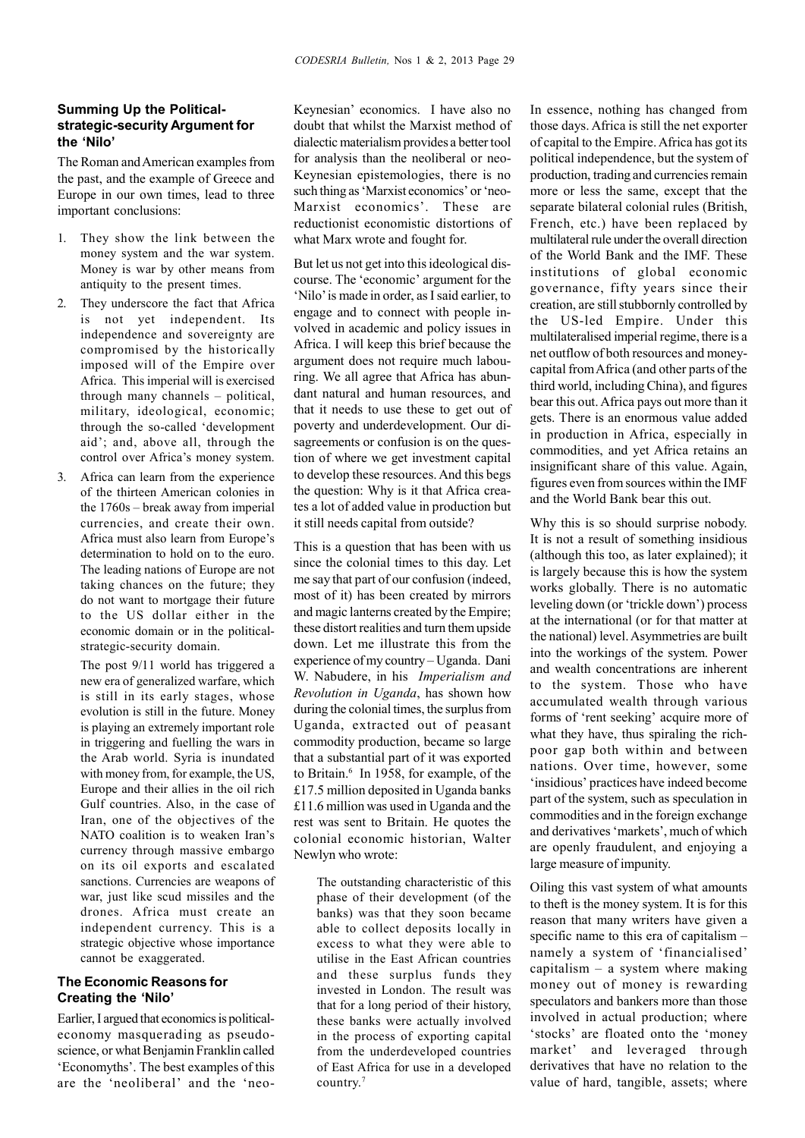# **Summing Up the Politicalstrategic-security Argument for the 'Nilo'**

The Roman and American examples from the past, and the example of Greece and Europe in our own times, lead to three important conclusions:

- 1. They show the link between the money system and the war system. Money is war by other means from antiquity to the present times.
- 2. They underscore the fact that Africa is not yet independent. Its independence and sovereignty are compromised by the historically imposed will of the Empire over Africa. This imperial will is exercised through many channels – political, military, ideological, economic; through the so-called 'development aid'; and, above all, through the control over Africa's money system.
- 3. Africa can learn from the experience of the thirteen American colonies in the 1760s – break away from imperial currencies, and create their own. Africa must also learn from Europe's determination to hold on to the euro. The leading nations of Europe are not taking chances on the future; they do not want to mortgage their future to the US dollar either in the economic domain or in the politicalstrategic-security domain.

The post 9/11 world has triggered a new era of generalized warfare, which is still in its early stages, whose evolution is still in the future. Money is playing an extremely important role in triggering and fuelling the wars in the Arab world. Syria is inundated with money from, for example, the US, Europe and their allies in the oil rich Gulf countries. Also, in the case of Iran, one of the objectives of the NATO coalition is to weaken Iran's currency through massive embargo on its oil exports and escalated sanctions. Currencies are weapons of war, just like scud missiles and the drones. Africa must create an independent currency. This is a strategic objective whose importance cannot be exaggerated.

# **The Economic Reasons for Creating the 'Nilo'**

Earlier, I argued that economics is politicaleconomy masquerading as pseudoscience, or what Benjamin Franklin called 'Economyths'. The best examples of this are the 'neoliberal' and the 'neoKeynesian' economics. I have also no doubt that whilst the Marxist method of dialectic materialism provides a better tool for analysis than the neoliberal or neo-Keynesian epistemologies, there is no such thing as 'Marxist economics' or 'neo-Marxist economics'. These are reductionist economistic distortions of what Marx wrote and fought for.

But let us not get into this ideological discourse. The 'economic' argument for the 'Nilo' is made in order, as I said earlier, to engage and to connect with people involved in academic and policy issues in Africa. I will keep this brief because the argument does not require much labouring. We all agree that Africa has abundant natural and human resources, and that it needs to use these to get out of poverty and underdevelopment. Our disagreements or confusion is on the question of where we get investment capital to develop these resources. And this begs the question: Why is it that Africa creates a lot of added value in production but it still needs capital from outside?

This is a question that has been with us since the colonial times to this day. Let me say that part of our confusion (indeed, most of it) has been created by mirrors and magic lanterns created by the Empire; these distort realities and turn them upside down. Let me illustrate this from the experience of my country – Uganda. Dani W. Nabudere, in his *Imperialism and Revolution in Uganda*, has shown how during the colonial times, the surplus from Uganda, extracted out of peasant commodity production, became so large that a substantial part of it was exported to Britain.<sup>6</sup> In 1958, for example, of the £17.5 million deposited in Uganda banks £11.6 million was used in Uganda and the rest was sent to Britain. He quotes the colonial economic historian, Walter Newlyn who wrote:

The outstanding characteristic of this phase of their development (of the banks) was that they soon became able to collect deposits locally in excess to what they were able to utilise in the East African countries and these surplus funds they invested in London. The result was that for a long period of their history, these banks were actually involved in the process of exporting capital from the underdeveloped countries of East Africa for use in a developed country.7

In essence, nothing has changed from those days. Africa is still the net exporter of capital to the Empire. Africa has got its political independence, but the system of production, trading and currencies remain more or less the same, except that the separate bilateral colonial rules (British, French, etc.) have been replaced by multilateral rule under the overall direction of the World Bank and the IMF. These institutions of global economic governance, fifty years since their creation, are still stubbornly controlled by the US-led Empire. Under this multilateralised imperial regime, there is a net outflow of both resources and moneycapital from Africa (and other parts of the third world, including China), and figures bear this out. Africa pays out more than it gets. There is an enormous value added in production in Africa, especially in commodities, and yet Africa retains an insignificant share of this value. Again, figures even from sources within the IMF and the World Bank bear this out.

Why this is so should surprise nobody. It is not a result of something insidious (although this too, as later explained); it is largely because this is how the system works globally. There is no automatic leveling down (or 'trickle down') process at the international (or for that matter at the national) level. Asymmetries are built into the workings of the system. Power and wealth concentrations are inherent to the system. Those who have accumulated wealth through various forms of 'rent seeking' acquire more of what they have, thus spiraling the richpoor gap both within and between nations. Over time, however, some 'insidious' practices have indeed become part of the system, such as speculation in commodities and in the foreign exchange and derivatives 'markets', much of which are openly fraudulent, and enjoying a large measure of impunity.

Oiling this vast system of what amounts to theft is the money system. It is for this reason that many writers have given a specific name to this era of capitalism – namely a system of 'financialised' capitalism – a system where making money out of money is rewarding speculators and bankers more than those involved in actual production; where 'stocks' are floated onto the 'money market' and leveraged through derivatives that have no relation to the value of hard, tangible, assets; where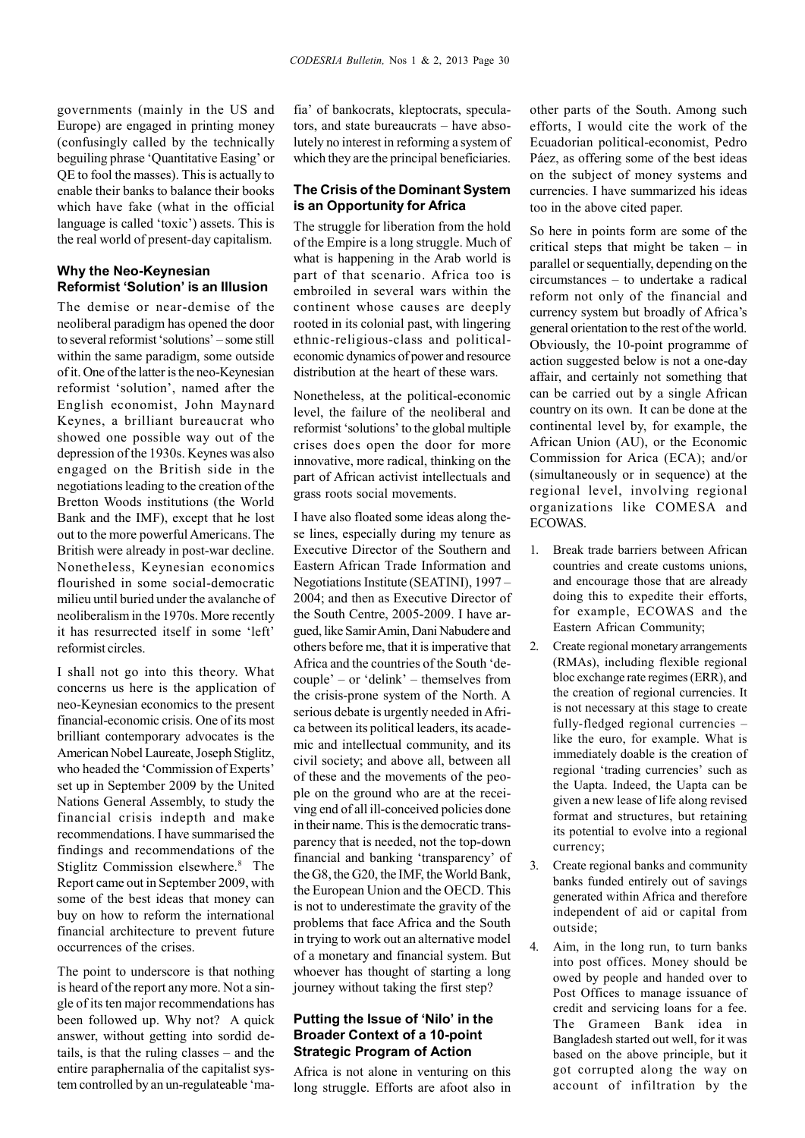governments (mainly in the US and Europe) are engaged in printing money (confusingly called by the technically beguiling phrase 'Quantitative Easing' or QE to fool the masses). This is actually to enable their banks to balance their books which have fake (what in the official language is called 'toxic') assets. This is the real world of present-day capitalism.

# **Why the Neo-Keynesian Reformist 'Solution' is an Illusion**

The demise or near-demise of the neoliberal paradigm has opened the door to several reformist 'solutions' – some still within the same paradigm, some outside of it. One of the latter is the neo-Keynesian reformist 'solution', named after the English economist, John Maynard Keynes, a brilliant bureaucrat who showed one possible way out of the depression of the 1930s. Keynes was also engaged on the British side in the negotiations leading to the creation of the Bretton Woods institutions (the World Bank and the IMF), except that he lost out to the more powerful Americans. The British were already in post-war decline. Nonetheless, Keynesian economics flourished in some social-democratic milieu until buried under the avalanche of neoliberalism in the 1970s. More recently it has resurrected itself in some 'left' reformist circles.

I shall not go into this theory. What concerns us here is the application of neo-Keynesian economics to the present financial-economic crisis. One of its most brilliant contemporary advocates is the American Nobel Laureate, Joseph Stiglitz, who headed the 'Commission of Experts' set up in September 2009 by the United Nations General Assembly, to study the financial crisis indepth and make recommendations. I have summarised the findings and recommendations of the Stiglitz Commission elsewhere.<sup>8</sup> The Report came out in September 2009, with some of the best ideas that money can buy on how to reform the international financial architecture to prevent future occurrences of the crises.

The point to underscore is that nothing is heard of the report any more. Not a single of its ten major recommendations has been followed up. Why not? A quick answer, without getting into sordid details, is that the ruling classes – and the entire paraphernalia of the capitalist system controlled by an un-regulateable 'ma-

fia' of bankocrats, kleptocrats, speculators, and state bureaucrats – have absolutely no interest in reforming a system of which they are the principal beneficiaries.

# **The Crisis of the Dominant System is an Opportunity for Africa**

The struggle for liberation from the hold of the Empire is a long struggle. Much of what is happening in the Arab world is part of that scenario. Africa too is embroiled in several wars within the continent whose causes are deeply rooted in its colonial past, with lingering ethnic-religious-class and politicaleconomic dynamics of power and resource distribution at the heart of these wars.

Nonetheless, at the political-economic level, the failure of the neoliberal and reformist 'solutions' to the global multiple crises does open the door for more innovative, more radical, thinking on the part of African activist intellectuals and grass roots social movements.

I have also floated some ideas along these lines, especially during my tenure as Executive Director of the Southern and Eastern African Trade Information and Negotiations Institute (SEATINI), 1997 – 2004; and then as Executive Director of the South Centre, 2005-2009. I have argued, like Samir Amin, Dani Nabudere and others before me, that it is imperative that Africa and the countries of the South 'decouple' – or 'delink' – themselves from the crisis-prone system of the North. A serious debate is urgently needed in Africa between its political leaders, its academic and intellectual community, and its civil society; and above all, between all of these and the movements of the people on the ground who are at the receiving end of all ill-conceived policies done in their name. This is the democratic transparency that is needed, not the top-down financial and banking 'transparency' of the G8, the G20, the IMF, the World Bank, the European Union and the OECD. This is not to underestimate the gravity of the problems that face Africa and the South in trying to work out an alternative model of a monetary and financial system. But whoever has thought of starting a long journey without taking the first step?

## **Putting the Issue of 'Nilo' in the Broader Context of a 10-point Strategic Program of Action**

Africa is not alone in venturing on this long struggle. Efforts are afoot also in

other parts of the South. Among such efforts, I would cite the work of the Ecuadorian political-economist, Pedro Páez, as offering some of the best ideas on the subject of money systems and currencies. I have summarized his ideas too in the above cited paper.

So here in points form are some of the critical steps that might be taken – in parallel or sequentially, depending on the circumstances – to undertake a radical reform not only of the financial and currency system but broadly of Africa's general orientation to the rest of the world. Obviously, the 10-point programme of action suggested below is not a one-day affair, and certainly not something that can be carried out by a single African country on its own. It can be done at the continental level by, for example, the African Union (AU), or the Economic Commission for Arica (ECA); and/or (simultaneously or in sequence) at the regional level, involving regional organizations like COMESA and ECOWAS.

- 1. Break trade barriers between African countries and create customs unions, and encourage those that are already doing this to expedite their efforts, for example, ECOWAS and the Eastern African Community;
- 2. Create regional monetary arrangements (RMAs), including flexible regional bloc exchange rate regimes (ERR), and the creation of regional currencies. It is not necessary at this stage to create fully-fledged regional currencies – like the euro, for example. What is immediately doable is the creation of regional 'trading currencies' such as the Uapta. Indeed, the Uapta can be given a new lease of life along revised format and structures, but retaining its potential to evolve into a regional currency;
- 3. Create regional banks and community banks funded entirely out of savings generated within Africa and therefore independent of aid or capital from outside;
- 4. Aim, in the long run, to turn banks into post offices. Money should be owed by people and handed over to Post Offices to manage issuance of credit and servicing loans for a fee. The Grameen Bank idea in Bangladesh started out well, for it was based on the above principle, but it got corrupted along the way on account of infiltration by the